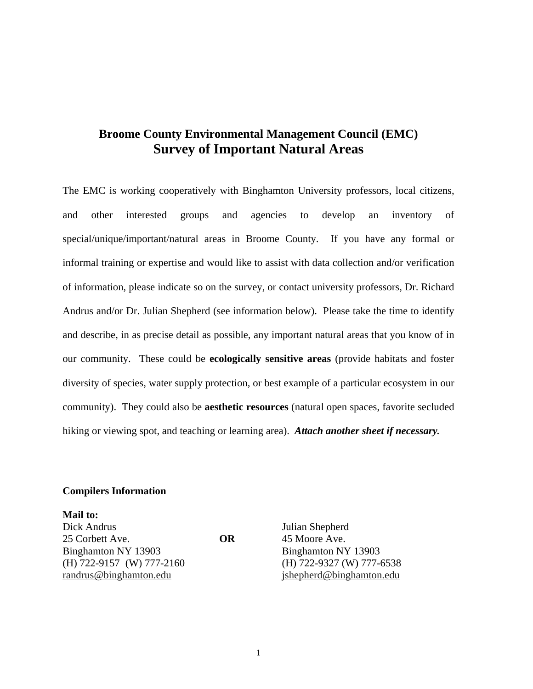## **Broome County Environmental Management Council (EMC) Survey of Important Natural Areas**

The EMC is working cooperatively with Binghamton University professors, local citizens, and other interested groups and agencies to develop an inventory of special/unique/important/natural areas in Broome County. If you have any formal or informal training or expertise and would like to assist with data collection and/or verification of information, please indicate so on the survey, or contact university professors, Dr. Richard Andrus and/or Dr. Julian Shepherd (see information below). Please take the time to identify and describe, in as precise detail as possible, any important natural areas that you know of in our community. These could be **ecologically sensitive areas** (provide habitats and foster diversity of species, water supply protection, or best example of a particular ecosystem in our community). They could also be **aesthetic resources** (natural open spaces, favorite secluded hiking or viewing spot, and teaching or learning area). *Attach another sheet if necessary.*

## **Compilers Information**

**Mail to:**  Dick Andrus Julian Shepherd 25 Corbett Ave. **OR** 45 Moore Ave. Binghamton NY 13903 Binghamton NY 13903 (H) 722-9157 (W) 777-2160 (H) 722-9327 (W) 777-6538 randrus@binghamton.edu jshepherd@binghamton.edu